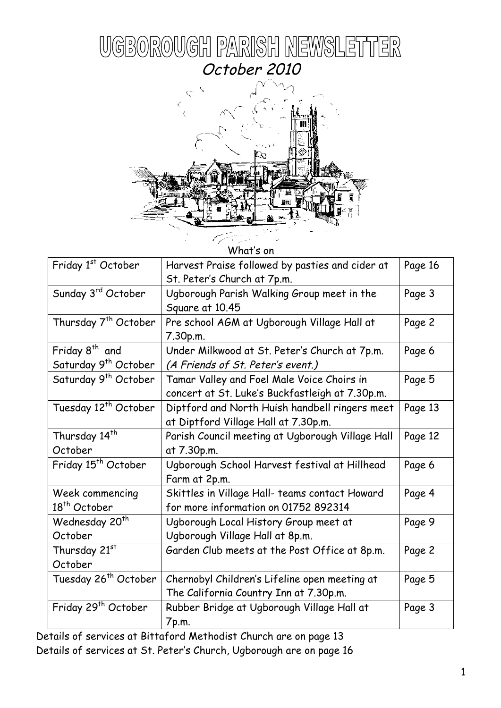



What's on

| Friday 1st October                                               | Harvest Praise followed by pasties and cider at  | Page 16 |
|------------------------------------------------------------------|--------------------------------------------------|---------|
|                                                                  | St. Peter's Church at 7p.m.                      |         |
| Sunday 3rd October                                               | Ugborough Parish Walking Group meet in the       | Page 3  |
|                                                                  | Square at 10.45                                  |         |
| Thursday 7 <sup>th</sup> October                                 | Pre school AGM at Ugborough Village Hall at      | Page 2  |
|                                                                  | 7.30p.m.                                         |         |
| Friday 8 <sup>th</sup> and                                       | Under Milkwood at St. Peter's Church at 7p.m.    | Page 6  |
| Saturday 9 <sup>th</sup> October                                 | (A Friends of St. Peter's event.)                |         |
| Saturday 9 <sup>th</sup> October                                 | Tamar Valley and Foel Male Voice Choirs in       | Page 5  |
|                                                                  | concert at St. Luke's Buckfastleigh at 7.30p.m.  |         |
| Tuesday 12 <sup>th</sup> October                                 | Diptford and North Huish handbell ringers meet   | Page 13 |
|                                                                  | at Diptford Village Hall at 7.30p.m.             |         |
| Thursday 14 <sup>th</sup>                                        | Parish Council meeting at Ugborough Village Hall | Page 12 |
| October                                                          | at 7.30p.m.                                      |         |
| Friday 15 <sup>th</sup> October                                  | Ugborough School Harvest festival at Hillhead    | Page 6  |
|                                                                  | Farm at 2p.m.                                    |         |
| Week commencing                                                  | Skittles in Village Hall- teams contact Howard   |         |
| 18 <sup>th</sup> October<br>for more information on 01752 892314 |                                                  |         |
| Wednesday 20 <sup>th</sup>                                       | Ugborough Local History Group meet at            |         |
| October                                                          | Ugborough Village Hall at 8p.m.                  |         |
| Thursday 21st                                                    | Garden Club meets at the Post Office at 8p.m.    |         |
| October                                                          |                                                  |         |
| Tuesday 26 <sup>th</sup> October                                 | Chernobyl Children's Lifeline open meeting at    |         |
|                                                                  | The California Country Inn at 7.30p.m.           |         |
| Friday 29 <sup>th</sup> October                                  | Rubber Bridge at Ugborough Village Hall at       |         |
|                                                                  | 7p.m.                                            |         |

Details of services at Bittaford Methodist Church are on page 13 Details of services at St. Peter's Church, Ugborough are on page 16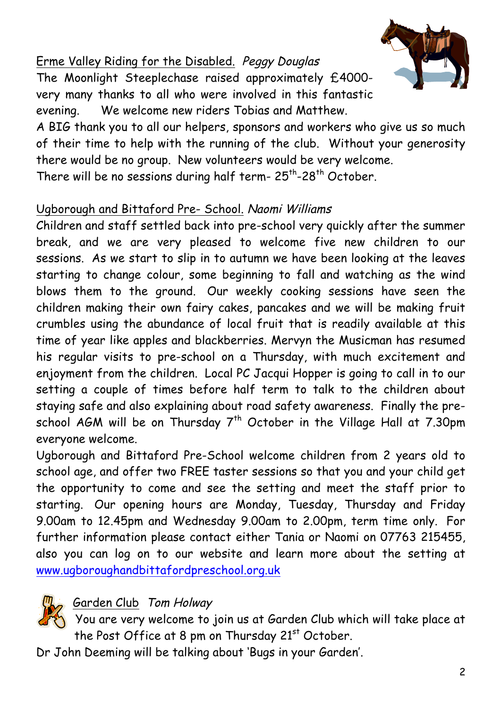# Erme Valley Riding for the Disabled. Peggy Douglas The Moonlight Steeplechase raised approximately £4000 very many thanks to all who were involved in this fantastic evening. We welcome new riders Tobias and Matthew.



A BIG thank you to all our helpers, sponsors and workers who give us so much of their time to help with the running of the club. Without your generosity there would be no group. New volunteers would be very welcome. There will be no sessions during half term- $25^{th}$ -28<sup>th</sup> October.

# Ugborough and Bittaford Pre- School. Naomi Williams

Children and staff settled back into pre-school very quickly after the summer break, and we are very pleased to welcome five new children to our sessions. As we start to slip in to autumn we have been looking at the leaves starting to change colour, some beginning to fall and watching as the wind blows them to the ground. Our weekly cooking sessions have seen the children making their own fairy cakes, pancakes and we will be making fruit crumbles using the abundance of local fruit that is readily available at this time of year like apples and blackberries. Mervyn the Musicman has resumed his regular visits to pre-school on a Thursday, with much excitement and enjoyment from the children. Local PC Jacqui Hopper is going to call in to our setting a couple of times before half term to talk to the children about staying safe and also explaining about road safety awareness. Finally the preschool AGM will be on Thursday  $7<sup>th</sup>$  October in the Village Hall at 7.30pm everyone welcome.

Ugborough and Bittaford Pre-School welcome children from 2 years old to school age, and offer two FREE taster sessions so that you and your child get the opportunity to come and see the setting and meet the staff prior to starting. Our opening hours are Monday, Tuesday, Thursday and Friday 9.00am to 12.45pm and Wednesday 9.00am to 2.00pm, term time only. For further information please contact either Tania or Naomi on 07763 215455, also you can log on to our website and learn more about the setting at www.ugboroughandbittafordpreschool.org.uk

#### Garden Club Tom Holway

You are very welcome to join us at Garden Club which will take place at the Post Office at 8 pm on Thursday 21<sup>st</sup> October.

Dr John Deeming will be talking about 'Bugs in your Garden'.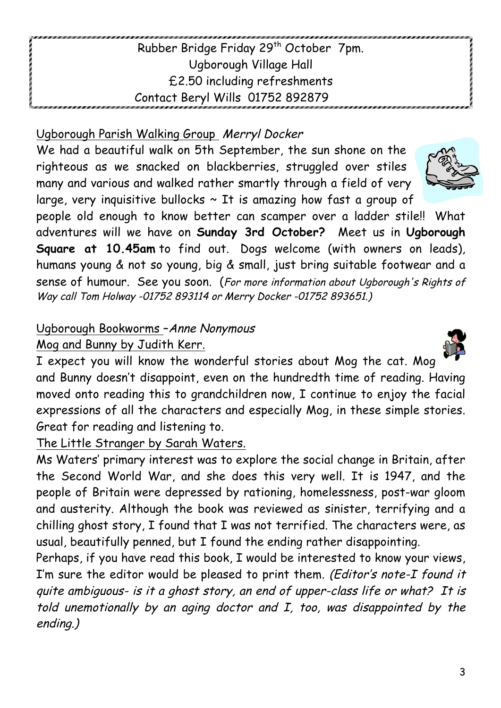## Rubber Bridge Friday 29<sup>th</sup> October 7pm. Ugborough Village Hall £2.50 including refreshments Contact Beryl Wills 01752 892879

#### Ugborough Parish Walking Group Merryl Docker

We had a beautiful walk on 5th September, the sun shone on the righteous as we snacked on blackberries, struggled over stiles many and various and walked rather smartly through a field of very large, very inquisitive bullocks  $\sim$  It is amazing how fast a group of

people old enough to know better can scamper over a ladder stile!! What adventures will we have on **Sunday 3rd October?** Meet us in **Ugborough Square at 10.45am** to find out. Dogs welcome (with owners on leads), humans young & not so young, big & small, just bring suitable footwear and a sense of humour. See you soon. (For more information about Ugborough's Rights of Way call Tom Holway -01752 893114 or Merry Docker -01752 893651.)

#### Ugborough Bookworms –Anne Nonymous

#### Mog and Bunny by Judith Kerr.

I expect you will know the wonderful stories about Mog the cat. Mog and Bunny doesn't disappoint, even on the hundredth time of reading. Having moved onto reading this to grandchildren now, I continue to enjoy the facial expressions of all the characters and especially Mog, in these simple stories. Great for reading and listening to.

The Little Stranger by Sarah Waters.

Ms Waters' primary interest was to explore the social change in Britain, after the Second World War, and she does this very well. It is 1947, and the people of Britain were depressed by rationing, homelessness, post-war gloom and austerity. Although the book was reviewed as sinister, terrifying and a chilling ghost story, I found that I was not terrified. The characters were, as usual, beautifully penned, but I found the ending rather disappointing.

Perhaps, if you have read this book, I would be interested to know your views, I'm sure the editor would be pleased to print them. (Editor's note-I found it quite ambiguous- is it a ghost story, an end of upper-class life or what? It is told unemotionally by an aging doctor and I, too, was disappointed by the ending.)





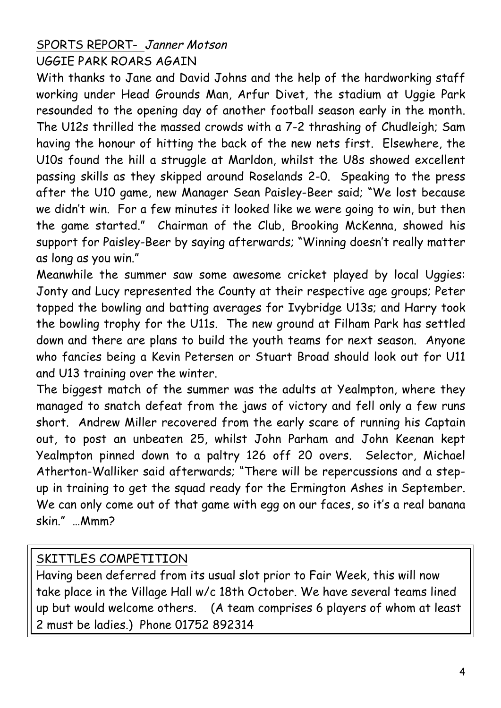## SPORTS REPORT- Janner Motson UGGIE PARK ROARS AGAIN

With thanks to Jane and David Johns and the help of the hardworking staff working under Head Grounds Man, Arfur Divet, the stadium at Uggie Park resounded to the opening day of another football season early in the month. The U12s thrilled the massed crowds with a 7-2 thrashing of Chudleigh; Sam having the honour of hitting the back of the new nets first. Elsewhere, the U10s found the hill a struggle at Marldon, whilst the U8s showed excellent passing skills as they skipped around Roselands 2-0. Speaking to the press after the U10 game, new Manager Sean Paisley-Beer said; "We lost because we didn't win. For a few minutes it looked like we were going to win, but then the game started." Chairman of the Club, Brooking McKenna, showed his support for Paisley-Beer by saying afterwards; "Winning doesn't really matter as long as you win."

Meanwhile the summer saw some awesome cricket played by local Uggies: Jonty and Lucy represented the County at their respective age groups; Peter topped the bowling and batting averages for Ivybridge U13s; and Harry took the bowling trophy for the U11s. The new ground at Filham Park has settled down and there are plans to build the youth teams for next season. Anyone who fancies being a Kevin Petersen or Stuart Broad should look out for U11 and U13 training over the winter.

The biggest match of the summer was the adults at Yealmpton, where they managed to snatch defeat from the jaws of victory and fell only a few runs short. Andrew Miller recovered from the early scare of running his Captain out, to post an unbeaten 25, whilst John Parham and John Keenan kept Yealmpton pinned down to a paltry 126 off 20 overs. Selector, Michael Atherton-Walliker said afterwards; "There will be repercussions and a stepup in training to get the squad ready for the Ermington Ashes in September. We can only come out of that game with egg on our faces, so it's a real banana skin." …Mmm?

#### SKITTLES COMPETITION

Having been deferred from its usual slot prior to Fair Week, this will now take place in the Village Hall w/c 18th October. We have several teams lined up but would welcome others. (A team comprises 6 players of whom at least 2 must be ladies.) Phone 01752 892314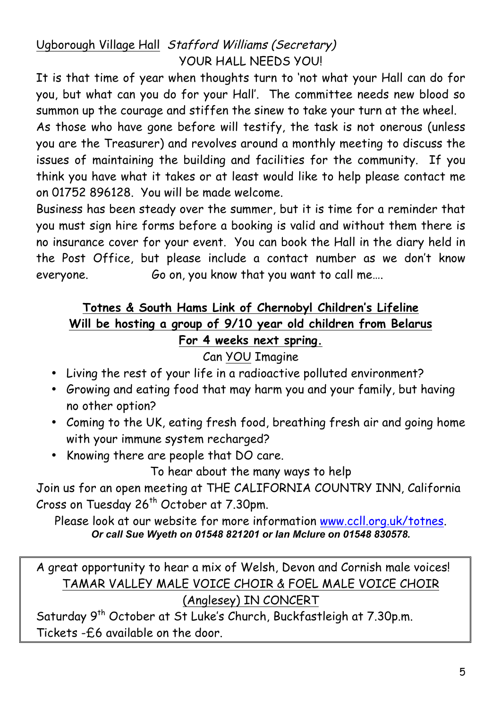# Ugborough Village Hall Stafford Williams (Secretary) YOUR HALL NEEDS YOU!

It is that time of year when thoughts turn to 'not what your Hall can do for you, but what can you do for your Hall'. The committee needs new blood so summon up the courage and stiffen the sinew to take your turn at the wheel.

As those who have gone before will testify, the task is not onerous (unless you are the Treasurer) and revolves around a monthly meeting to discuss the issues of maintaining the building and facilities for the community. If you think you have what it takes or at least would like to help please contact me on 01752 896128. You will be made welcome.

Business has been steady over the summer, but it is time for a reminder that you must sign hire forms before a booking is valid and without them there is no insurance cover for your event. You can book the Hall in the diary held in the Post Office, but please include a contact number as we don't know everyone. Go on, you know that you want to call me....

#### **Totnes & South Hams Link of Chernobyl Children's Lifeline Will be hosting a group of 9/10 year old children from Belarus For 4 weeks next spring.**

#### Can YOU Imagine

- Living the rest of your life in a radioactive polluted environment?
- Growing and eating food that may harm you and your family, but having no other option?
- Coming to the UK, eating fresh food, breathing fresh air and going home with your immune system recharged?
- Knowing there are people that DO care.

To hear about the many ways to help

Join us for an open meeting at THE CALIFORNIA COUNTRY INN, California Cross on Tuesday  $26<sup>th</sup>$  October at 7.30pm.

Please look at our website for more information www.ccll.org.uk/totnes. *Or call Sue Wyeth on 01548 821201 or Ian Mclure on 01548 830578.*

A great opportunity to hear a mix of Welsh, Devon and Cornish male voices! TAMAR VALLEY MALE VOICE CHOIR & FOEL MALE VOICE CHOIR (Anglesey) IN CONCERT

Saturday 9<sup>th</sup> October at St Luke's Church, Buckfastleigh at 7.30p.m. Tickets -£6 available on the door.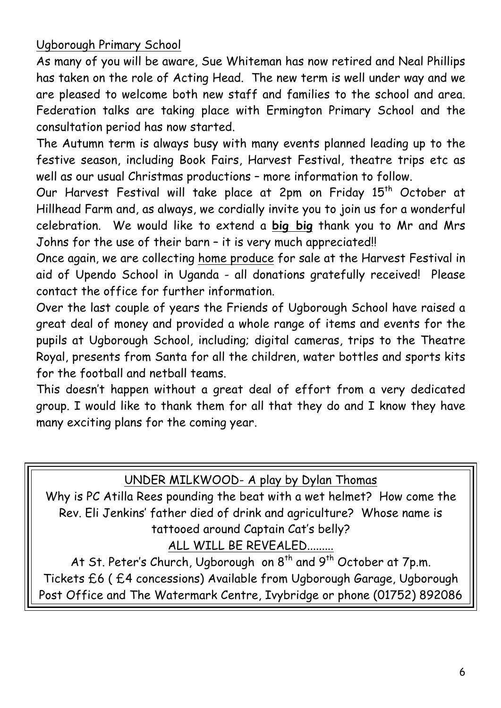#### Ugborough Primary School

As many of you will be aware, Sue Whiteman has now retired and Neal Phillips has taken on the role of Acting Head. The new term is well under way and we are pleased to welcome both new staff and families to the school and area. Federation talks are taking place with Ermington Primary School and the consultation period has now started.

The Autumn term is always busy with many events planned leading up to the festive season, including Book Fairs, Harvest Festival, theatre trips etc as well as our usual Christmas productions – more information to follow.

Our Harvest Festival will take place at 2pm on Friday 15<sup>th</sup> October at Hillhead Farm and, as always, we cordially invite you to join us for a wonderful celebration. We would like to extend a **big big** thank you to Mr and Mrs Johns for the use of their barn - it is very much appreciated!!

Once again, we are collecting home produce for sale at the Harvest Festival in aid of Upendo School in Uganda - all donations gratefully received! Please contact the office for further information.

Over the last couple of years the Friends of Ugborough School have raised a great deal of money and provided a whole range of items and events for the pupils at Ugborough School, including; digital cameras, trips to the Theatre Royal, presents from Santa for all the children, water bottles and sports kits for the football and netball teams.

This doesn't happen without a great deal of effort from a very dedicated group. I would like to thank them for all that they do and I know they have many exciting plans for the coming year.

#### UNDER MILKWOOD- A play by Dylan Thomas

Why is PC Atilla Rees pounding the beat with a wet helmet? How come the Rev. Eli Jenkins' father died of drink and agriculture? Whose name is tattooed around Captain Cat's belly? ALL WILL BE REVEALED........

At St. Peter's Church, Ugborough on 8<sup>th</sup> and 9<sup>th</sup> October at 7p.m. Tickets £6 ( £4 concessions) Available from Ugborough Garage, Ugborough Post Office and The Watermark Centre, Ivybridge or phone (01752) 892086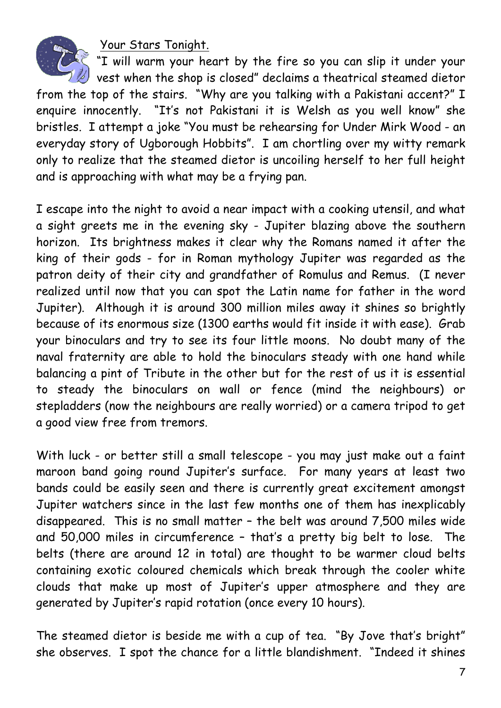Your Stars Tonight.



"I will warm your heart by the fire so you can slip it under your  $\mathbb Z$  vest when the shop is closed" declaims a theatrical steamed dietor from the top of the stairs. "Why are you talking with a Pakistani accent?" I enquire innocently. "It's not Pakistani it is Welsh as you well know" she

bristles. I attempt a joke "You must be rehearsing for Under Mirk Wood - an everyday story of Ugborough Hobbits". I am chortling over my witty remark only to realize that the steamed dietor is uncoiling herself to her full height and is approaching with what may be a frying pan.

I escape into the night to avoid a near impact with a cooking utensil, and what a sight greets me in the evening sky - Jupiter blazing above the southern horizon. Its brightness makes it clear why the Romans named it after the king of their gods - for in Roman mythology Jupiter was regarded as the patron deity of their city and grandfather of Romulus and Remus. (I never realized until now that you can spot the Latin name for father in the word Jupiter). Although it is around 300 million miles away it shines so brightly because of its enormous size (1300 earths would fit inside it with ease). Grab your binoculars and try to see its four little moons. No doubt many of the naval fraternity are able to hold the binoculars steady with one hand while balancing a pint of Tribute in the other but for the rest of us it is essential to steady the binoculars on wall or fence (mind the neighbours) or stepladders (now the neighbours are really worried) or a camera tripod to get a good view free from tremors.

With luck - or better still a small telescope - you may just make out a faint maroon band going round Jupiter's surface. For many years at least two bands could be easily seen and there is currently great excitement amongst Jupiter watchers since in the last few months one of them has inexplicably disappeared. This is no small matter – the belt was around 7,500 miles wide and 50,000 miles in circumference – that's a pretty big belt to lose. The belts (there are around 12 in total) are thought to be warmer cloud belts containing exotic coloured chemicals which break through the cooler white clouds that make up most of Jupiter's upper atmosphere and they are generated by Jupiter's rapid rotation (once every 10 hours).

The steamed dietor is beside me with a cup of tea. "By Jove that's bright" she observes. I spot the chance for a little blandishment. "Indeed it shines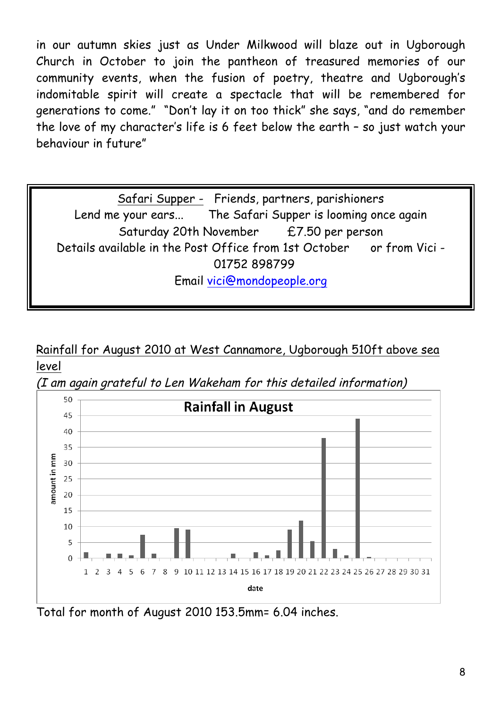in our autumn skies just as Under Milkwood will blaze out in Ugborough Church in October to join the pantheon of treasured memories of our community events, when the fusion of poetry, theatre and Ugborough's indomitable spirit will create a spectacle that will be remembered for generations to come." "Don't lay it on too thick" she says, "and do remember the love of my character's life is 6 feet below the earth – so just watch your behaviour in future"

Safari Supper - Friends, partners, parishioners Lend me your ears... The Safari Supper is looming once again Saturday 20th November £7.50 per person Details available in the Post Office from 1st October or from Vici -01752 898799 Email vici@mondopeople.org

#### Rainfall for August 2010 at West Cannamore, Ugborough 510ft above sea level





Total for month of August 2010 153.5mm= 6.04 inches.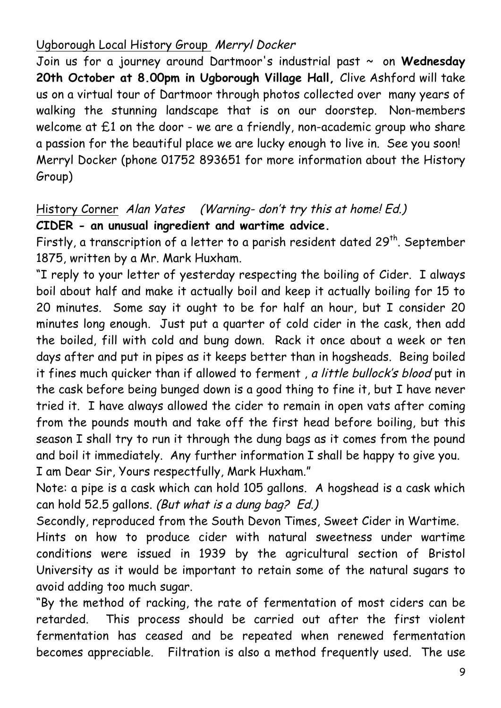### Ugborough Local History Group Merryl Docker

Join us for a journey around Dartmoor's industrial past ~ on **Wednesday 20th October at 8.00pm in Ugborough Village Hall,** Clive Ashford will take us on a virtual tour of Dartmoor through photos collected over many years of walking the stunning landscape that is on our doorstep. Non-members welcome at £1 on the door - we are a friendly, non-academic group who share a passion for the beautiful place we are lucky enough to live in. See you soon! Merryl Docker (phone 01752 893651 for more information about the History Group)

## History Corner Alan Yates(Warning- don't try this at home! Ed.) **CIDER - an unusual ingredient and wartime advice.**

Firstly, a transcription of a letter to a parish resident dated 29<sup>th</sup>. September 1875, written by a Mr. Mark Huxham.

"I reply to your letter of yesterday respecting the boiling of Cider. I always boil about half and make it actually boil and keep it actually boiling for 15 to 20 minutes. Some say it ought to be for half an hour, but I consider 20 minutes long enough. Just put a quarter of cold cider in the cask, then add the boiled, fill with cold and bung down. Rack it once about a week or ten days after and put in pipes as it keeps better than in hogsheads. Being boiled it fines much quicker than if allowed to ferment, a little bullock's blood put in the cask before being bunged down is a good thing to fine it, but I have never tried it. I have always allowed the cider to remain in open vats after coming from the pounds mouth and take off the first head before boiling, but this season I shall try to run it through the dung bags as it comes from the pound and boil it immediately. Any further information I shall be happy to give you. I am Dear Sir, Yours respectfully, Mark Huxham."

Note: a pipe is a cask which can hold 105 gallons. A hogshead is a cask which can hold 52.5 gallons. (But what is a dung bag? Ed.)

Secondly, reproduced from the South Devon Times, Sweet Cider in Wartime.

Hints on how to produce cider with natural sweetness under wartime conditions were issued in 1939 by the agricultural section of Bristol University as it would be important to retain some of the natural sugars to avoid adding too much sugar.

"By the method of racking, the rate of fermentation of most ciders can be retarded. This process should be carried out after the first violent fermentation has ceased and be repeated when renewed fermentation becomes appreciable. Filtration is also a method frequently used. The use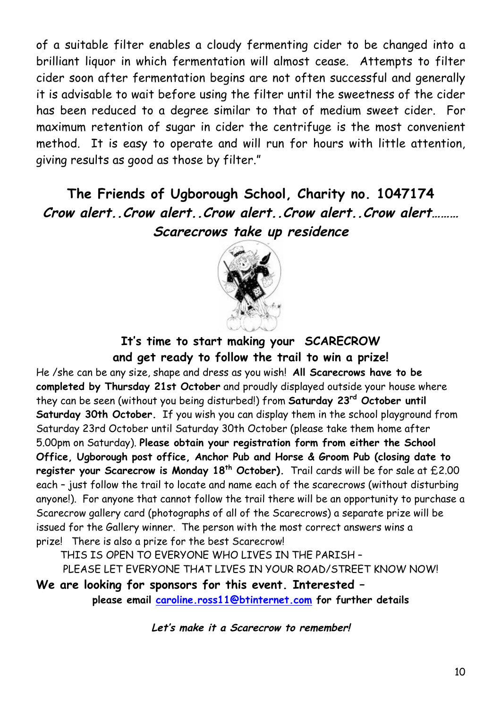of a suitable filter enables a cloudy fermenting cider to be changed into a brilliant liquor in which fermentation will almost cease. Attempts to filter cider soon after fermentation begins are not often successful and generally it is advisable to wait before using the filter until the sweetness of the cider has been reduced to a degree similar to that of medium sweet cider. For maximum retention of sugar in cider the centrifuge is the most convenient method. It is easy to operate and will run for hours with little attention, giving results as good as those by filter."

# **The Friends of Ugborough School, Charity no. 1047174 Crow alert..Crow alert..Crow alert..Crow alert..Crow alert……… Scarecrows take up residence**



#### **It's time to start making your SCARECROW and get ready to follow the trail to win a prize!**

He /she can be any size, shape and dress as you wish! **All Scarecrows have to be completed by Thursday 21st October** and proudly displayed outside your house where they can be seen (without you being disturbed!) from **Saturday 23rd October until Saturday 30th October.** If you wish you can display them in the school playground from Saturday 23rd October until Saturday 30th October (please take them home after 5.00pm on Saturday). **Please obtain your registration form from either the School Office, Ugborough post office, Anchor Pub and Horse & Groom Pub (closing date to**  register your Scarecrow is Monday 18<sup>th</sup> October). Trail cards will be for sale at £2.00 each – just follow the trail to locate and name each of the scarecrows (without disturbing anyone!). For anyone that cannot follow the trail there will be an opportunity to purchase a Scarecrow gallery card (photographs of all of the Scarecrows) a separate prize will be issued for the Gallery winner. The person with the most correct answers wins a prize! There is also a prize for the best Scarecrow!

THIS IS OPEN TO EVERYONE WHO LIVES IN THE PARISH –

PLEASE LET EVERYONE THAT LIVES IN YOUR ROAD/STREET KNOW NOW!

**We are looking for sponsors for this event. Interested – please email caroline.ross11@btinternet.com for further details**

**Let's make it a Scarecrow to remember!**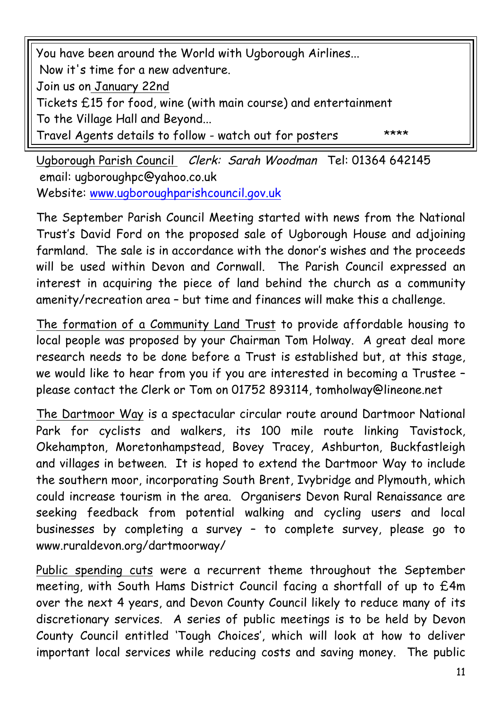You have been around the World with Ugborough Airlines... Now it's time for a new adventure. Join us on January 22nd Tickets £15 for food, wine (with main course) and entertainment To the Village Hall and Beyond... Travel Agents details to follow - watch out for posters \*\*\*\*

Ugborough Parish Council Clerk: Sarah Woodman Tel: 01364 642145 email: ugboroughpc@yahoo.co.uk Website: www.ugboroughparishcouncil.gov.uk

The September Parish Council Meeting started with news from the National Trust's David Ford on the proposed sale of Ugborough House and adjoining farmland. The sale is in accordance with the donor's wishes and the proceeds will be used within Devon and Cornwall. The Parish Council expressed an interest in acquiring the piece of land behind the church as a community amenity/recreation area – but time and finances will make this a challenge.

The formation of a Community Land Trust to provide affordable housing to local people was proposed by your Chairman Tom Holway. A great deal more research needs to be done before a Trust is established but, at this stage, we would like to hear from you if you are interested in becoming a Trustee – please contact the Clerk or Tom on 01752 893114, tomholway@lineone.net

The Dartmoor Way is a spectacular circular route around Dartmoor National Park for cyclists and walkers, its 100 mile route linking Tavistock, Okehampton, Moretonhampstead, Bovey Tracey, Ashburton, Buckfastleigh and villages in between. It is hoped to extend the Dartmoor Way to include the southern moor, incorporating South Brent, Ivybridge and Plymouth, which could increase tourism in the area. Organisers Devon Rural Renaissance are seeking feedback from potential walking and cycling users and local businesses by completing a survey – to complete survey, please go to www.ruraldevon.org/dartmoorway/

Public spending cuts were a recurrent theme throughout the September meeting, with South Hams District Council facing a shortfall of up to £4m over the next 4 years, and Devon County Council likely to reduce many of its discretionary services. A series of public meetings is to be held by Devon County Council entitled 'Tough Choices', which will look at how to deliver important local services while reducing costs and saving money. The public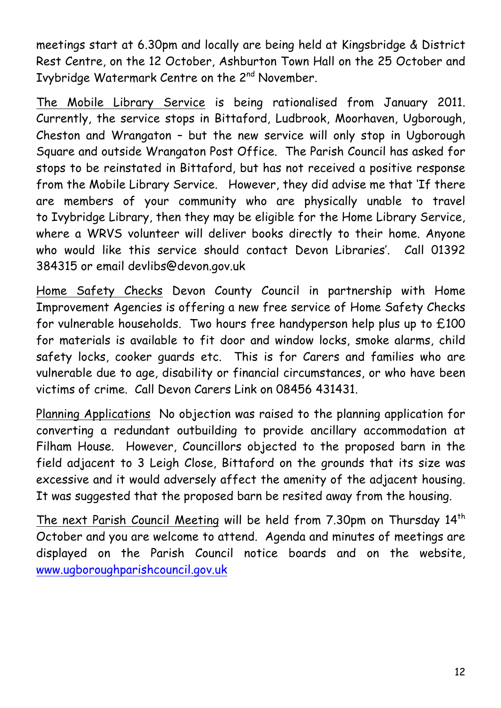meetings start at 6.30pm and locally are being held at Kingsbridge & District Rest Centre, on the 12 October, Ashburton Town Hall on the 25 October and Ivybridge Watermark Centre on the 2<sup>nd</sup> November.

The Mobile Library Service is being rationalised from January 2011. Currently, the service stops in Bittaford, Ludbrook, Moorhaven, Ugborough, Cheston and Wrangaton – but the new service will only stop in Ugborough Square and outside Wrangaton Post Office. The Parish Council has asked for stops to be reinstated in Bittaford, but has not received a positive response from the Mobile Library Service. However, they did advise me that 'If there are members of your community who are physically unable to travel to Ivybridge Library, then they may be eligible for the Home Library Service, where a WRVS volunteer will deliver books directly to their home. Anyone who would like this service should contact Devon Libraries'. Call 01392 384315 or email devlibs@devon.gov.uk

Home Safety Checks Devon County Council in partnership with Home Improvement Agencies is offering a new free service of Home Safety Checks for vulnerable households. Two hours free handyperson help plus up to £100 for materials is available to fit door and window locks, smoke alarms, child safety locks, cooker quards etc. This is for Carers and families who are vulnerable due to age, disability or financial circumstances, or who have been victims of crime. Call Devon Carers Link on 08456 431431.

Planning Applications No objection was raised to the planning application for converting a redundant outbuilding to provide ancillary accommodation at Filham House. However, Councillors objected to the proposed barn in the field adjacent to 3 Leigh Close, Bittaford on the grounds that its size was excessive and it would adversely affect the amenity of the adjacent housing. It was suggested that the proposed barn be resited away from the housing.

The next Parish Council Meeting will be held from 7.30pm on Thursday 14th October and you are welcome to attend. Agenda and minutes of meetings are displayed on the Parish Council notice boards and on the website, www.ugboroughparishcouncil.gov.uk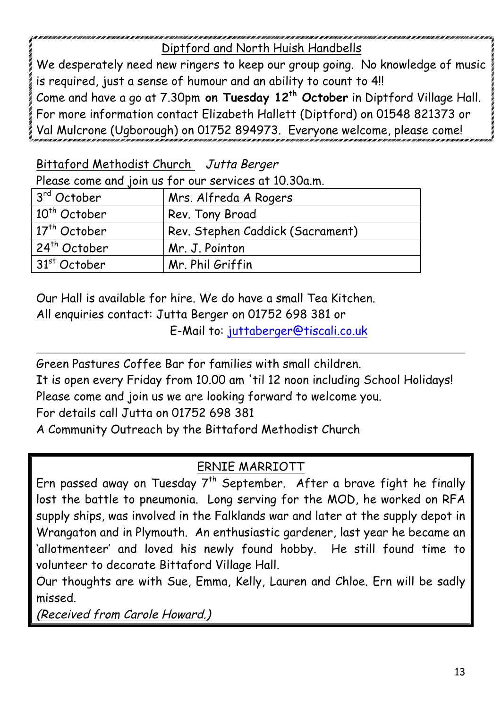## Diptford and North Huish Handbells

We desperately need new ringers to keep our group going. No knowledge of music is required, just a sense of humour and an ability to count to 4!! Come and have a go at 7.30pm **on Tuesday 12th October** in Diptford Village Hall. For more information contact Elizabeth Hallett (Diptford) on 01548 821373 or Val Mulcrone (Ugborough) on 01752 894973. Everyone welcome, please come!

Bittaford Methodist Church Jutta Berger

Please come and join us for our services at 10.30a.m.

| 3 <sup>rd</sup> October  | Mrs. Alfreda A Rogers            |
|--------------------------|----------------------------------|
| 10 <sup>th</sup> October | Rev. Tony Broad                  |
| $17th$ October           | Rev. Stephen Caddick (Sacrament) |
| 24 <sup>th</sup> October | Mr. J. Pointon                   |
| $31st$ October           | Mr. Phil Griffin                 |

Our Hall is available for hire. We do have a small Tea Kitchen.

All enquiries contact: Jutta Berger on 01752 698 381 or

E-Mail to: juttaberger@tiscali.co.uk

Green Pastures Coffee Bar for families with small children.

It is open every Friday from 10.00 am 'til 12 noon including School Holidays!

Please come and join us we are looking forward to welcome you.

For details call Jutta on 01752 698 381

A Community Outreach by the Bittaford Methodist Church

# ERNIE MARRIOTT

Ern passed away on Tuesday  $7<sup>th</sup>$  September. After a brave fight he finally lost the battle to pneumonia. Long serving for the MOD, he worked on RFA supply ships, was involved in the Falklands war and later at the supply depot in Wrangaton and in Plymouth. An enthusiastic gardener, last year he became an 'allotmenteer' and loved his newly found hobby. He still found time to volunteer to decorate Bittaford Village Hall.

Our thoughts are with Sue, Emma, Kelly, Lauren and Chloe. Ern will be sadly missed.

(Received from Carole Howard.)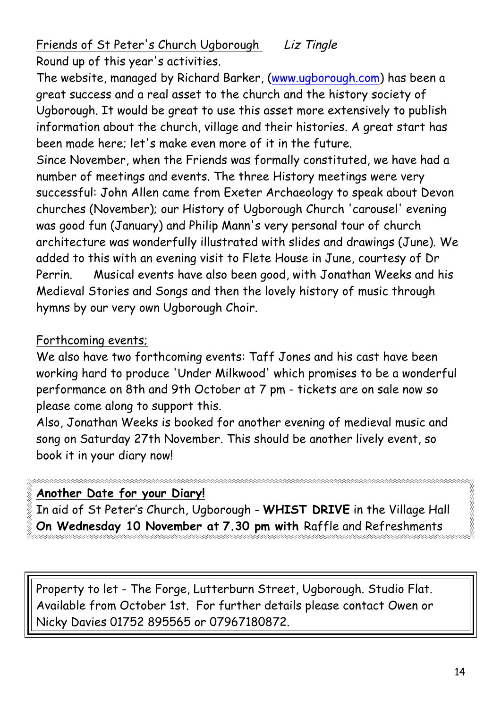Friends of St Peter's Church Ugborough Liz Tingle Round up of this year's activities.

The website, managed by Richard Barker, (www.ugborough.com) has been a great success and a real asset to the church and the history society of Ugborough. It would be great to use this asset more extensively to publish information about the church, village and their histories. A great start has been made here; let's make even more of it in the future.

Since November, when the Friends was formally constituted, we have had a number of meetings and events. The three History meetings were very successful: John Allen came from Exeter Archaeology to speak about Devon churches (November); our History of Ugborough Church 'carousel' evening was good fun (January) and Philip Mann's very personal tour of church architecture was wonderfully illustrated with slides and drawings (June). We added to this with an evening visit to Flete House in June, courtesy of Dr Perrin. Musical events have also been good, with Jonathan Weeks and his Medieval Stories and Songs and then the lovely history of music through hymns by our very own Ugborough Choir.

#### Forthcoming events;

We also have two forthcoming events: Taff Jones and his cast have been working hard to produce 'Under Milkwood' which promises to be a wonderful performance on 8th and 9th October at 7 pm - tickets are on sale now so please come along to support this.

Also, Jonathan Weeks is booked for another evening of medieval music and song on Saturday 27th November. This should be another lively event, so book it in your diary now!

### **Another Date for your Diary!**

In aid of St Peter's Church, Ugborough - **WHIST DRIVE** in the Village Hall **On Wednesday 10 November at 7.30 pm with** Raffle and Refreshments

Property to let - The Forge, Lutterburn Street, Ugborough. Studio Flat. Available from October 1st. For further details please contact Owen or Nicky Davies 01752 895565 or 07967180872.

KKKKKKKK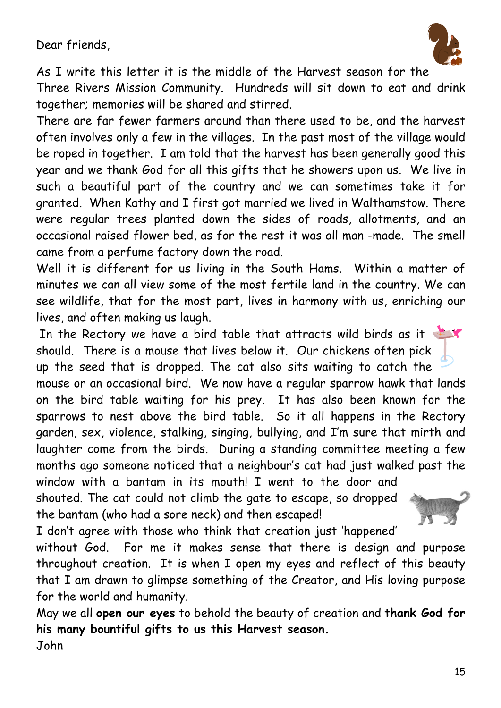Dear friends,



As I write this letter it is the middle of the Harvest season for the

Three Rivers Mission Community. Hundreds will sit down to eat and drink together; memories will be shared and stirred.

There are far fewer farmers around than there used to be, and the harvest often involves only a few in the villages. In the past most of the village would be roped in together. I am told that the harvest has been generally good this year and we thank God for all this gifts that he showers upon us. We live in such a beautiful part of the country and we can sometimes take it for granted. When Kathy and I first got married we lived in Walthamstow. There were regular trees planted down the sides of roads, allotments, and an occasional raised flower bed, as for the rest it was all man -made. The smell came from a perfume factory down the road.

Well it is different for us living in the South Hams. Within a matter of minutes we can all view some of the most fertile land in the country. We can see wildlife, that for the most part, lives in harmony with us, enriching our lives, and often making us laugh.

In the Rectory we have a bird table that attracts wild birds as it should. There is a mouse that lives below it. Our chickens often pick up the seed that is dropped. The cat also sits waiting to catch the mouse or an occasional bird. We now have a regular sparrow hawk that lands on the bird table waiting for his prey. It has also been known for the sparrows to nest above the bird table. So it all happens in the Rectory garden, sex, violence, stalking, singing, bullying, and I'm sure that mirth and laughter come from the birds. During a standing committee meeting a few months ago someone noticed that a neighbour's cat had just walked past the window with a bantam in its mouth! I went to the door and

shouted. The cat could not climb the gate to escape, so dropped the bantam (who had a sore neck) and then escaped!



I don't agree with those who think that creation just 'happened'

without God. For me it makes sense that there is design and purpose throughout creation. It is when I open my eyes and reflect of this beauty that I am drawn to glimpse something of the Creator, and His loving purpose for the world and humanity.

May we all **open our eyes** to behold the beauty of creation and **thank God for his many bountiful gifts to us this Harvest season.**  John